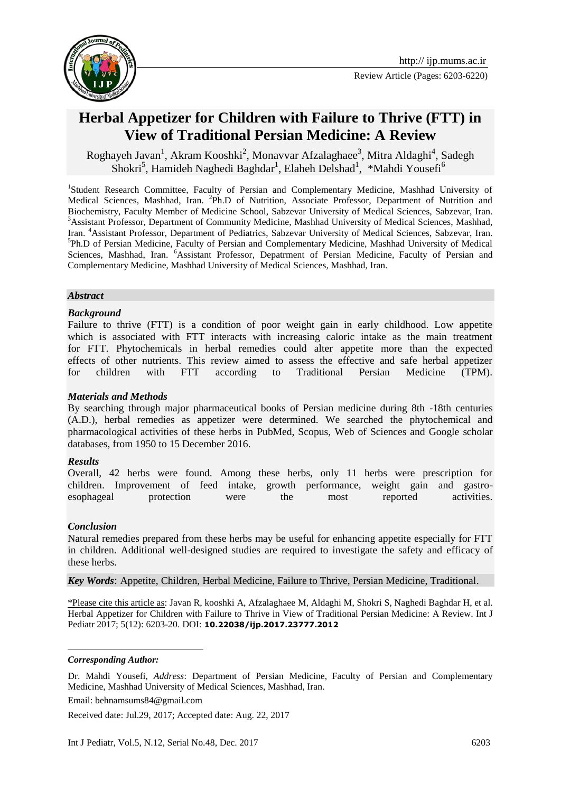

Review Article (Pages: 6203-6220)



# **Herbal Appetizer for Children with Failure to Thrive (FTT) in View of Traditional Persian Medicine: A Review**

Roghayeh Javan<sup>1</sup>, Akram Kooshki<sup>2</sup>, Monavvar Afzalaghaee<sup>3</sup>, Mitra Aldaghi<sup>4</sup>, Sadegh Shokri<sup>5</sup>, Hamideh Naghedi Baghdar<sup>1</sup>, Elaheh Delshad<sup>1</sup>, \*Mahdi Yousefi<sup>6</sup>

<sup>1</sup>Student Research Committee, Faculty of Persian and Complementary Medicine, Mashhad University of Medical Sciences, Mashhad, Iran. <sup>2</sup>Ph.D of Nutrition, Associate Professor, Department of Nutrition and Biochemistry, Faculty Member of Medicine School, Sabzevar University of Medical Sciences, Sabzevar, Iran. <sup>3</sup>Assistant Professor, Department of Community Medicine, Mashhad University of Medical Sciences, Mashhad, Iran. <sup>4</sup>Assistant Professor, Department of Pediatrics, Sabzevar University of Medical Sciences, Sabzevar, Iran. 5 Ph.D of Persian Medicine, Faculty of Persian and Complementary Medicine, Mashhad University of Medical Sciences, Mashhad, Iran. <sup>6</sup>Assistant Professor, Depatrment of Persian Medicine, Faculty of Persian and Complementary Medicine, Mashhad University of Medical Sciences, Mashhad, Iran.

#### *Abstract*

#### *Background*

Failure to thrive (FTT) is a condition of poor weight gain in early childhood. Low appetite which is associated with FTT interacts with increasing caloric intake as the main treatment for FTT. Phytochemicals in herbal remedies could alter appetite more than the expected effects of other nutrients. This review aimed to assess the effective and safe herbal appetizer for children with FTT according to Traditional Persian Medicine (TPM).

#### *Materials and Methods*

By searching through major pharmaceutical books of Persian medicine during 8th -18th centuries (A.D.), herbal remedies as appetizer were determined. We searched the phytochemical and pharmacological activities of these herbs in PubMed, Scopus, Web of Sciences and Google scholar databases, from 1950 to 15 December 2016.

#### *Results*

Overall, 42 herbs were found. Among these herbs, only 11 herbs were prescription for children. Improvement of feed intake, growth performance, weight gain and gastroesophageal protection were the most reported activities.

#### *Conclusion*

Natural remedies prepared from these herbs may be useful for enhancing appetite especially for FTT in children. Additional well-designed studies are required to investigate the safety and efficacy of these herbs.

*Key Words*: Appetite, Children, Herbal Medicine, Failure to Thrive, Persian Medicine, Traditional.

\*Please cite this article as: Javan R, kooshki A, Afzalaghaee M, Aldaghi M, Shokri S, Naghedi Baghdar H, et al. Herbal Appetizer for Children with Failure to Thrive in View of Traditional Persian Medicine: A Review. Int J Pediatr 2017; 5(12): 6203-20. DOI: **10.22038/ijp.2017.23777.2012**

#### *Corresponding Author:*

**.** 

Dr. Mahdi Yousefi, *Address*: Department of Persian Medicine, Faculty of Persian and Complementary Medicine, Mashhad University of Medical Sciences, Mashhad, Iran.

Email: behnamsums84@gmail.com

Received date: Jul.29, 2017; Accepted date: Aug. 22, 2017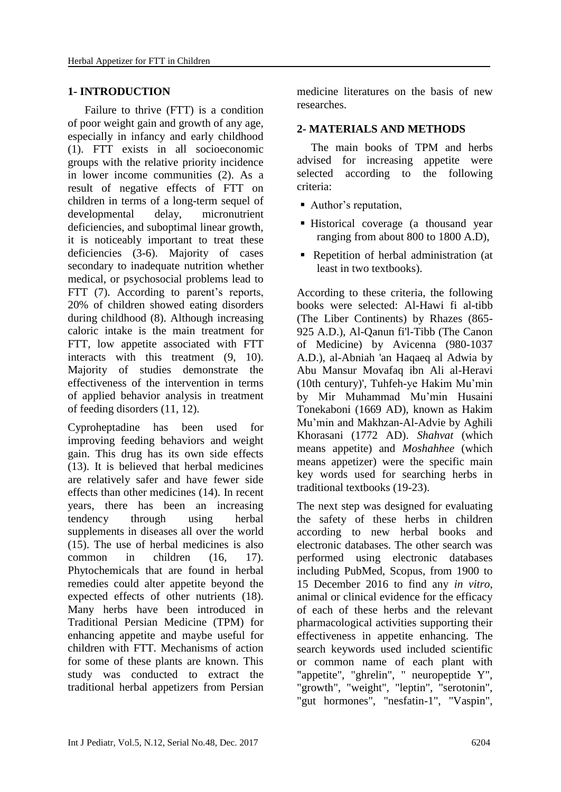#### **1- INTRODUCTION**

 Failure to thrive (FTT) is a condition of poor weight gain and growth of any age, especially in infancy and early childhood (1). FTT exists in all socioeconomic groups with the relative priority incidence in lower income communities (2). As a result of negative effects of FTT on children in terms of a long-term sequel of developmental delay, micronutrient deficiencies, and suboptimal linear growth, it is noticeably important to treat these deficiencies (3-6). Majority of cases secondary to inadequate nutrition whether medical, or psychosocial problems lead to FTT (7). According to parent's reports, 20% of children showed eating disorders during childhood (8). Although increasing caloric intake is the main treatment for FTT, low appetite associated with FTT interacts with this treatment (9, 10). Majority of studies demonstrate the effectiveness of the intervention in terms of applied behavior analysis in treatment of feeding disorders (11, 12).

Cyproheptadine has been used for improving feeding behaviors and weight gain. This drug has its own side effects (13). It is believed that herbal medicines are relatively safer and have fewer side effects than other medicines (14). In recent years, there has been an increasing tendency through using herbal supplements in diseases all over the world (15). The use of herbal medicines is also common in children (16, 17). Phytochemicals that are found in herbal remedies could alter appetite beyond the expected effects of other nutrients (18). Many herbs have been introduced in Traditional Persian Medicine (TPM) for enhancing appetite and maybe useful for children with FTT. Mechanisms of action for some of these plants are known. This study was conducted to extract the traditional herbal appetizers from Persian medicine literatures on the basis of new researches.

### **2- MATERIALS AND METHODS**

 The main books of TPM and herbs advised for increasing appetite were selected according to the following criteria:

- Author's reputation,
- Historical coverage (a thousand year ranging from about 800 to 1800 A.D),
- Repetition of herbal administration (at least in two textbooks).

According to these criteria, the following books were selected: Al-Hawi fi al-tibb (The Liber Continents) by Rhazes (865- 925 A.D.), Al-Qanun fi'l-Tibb (The Canon of Medicine) by Avicenna (980-1037 A.D.), al-Abniah 'an Haqaeq al Adwia by Abu Mansur Movafaq ibn Ali al-Heravi (10th century)', Tuhfeh-ye Hakim Mu'min by Mir Muhammad Mu'min Husaini Tonekaboni (1669 AD), known as Hakim Mu'min and Makhzan-Al-Advie by Aghili Khorasani (1772 AD). *Shahvat* (which means appetite) and *Moshahhee* (which means appetizer) were the specific main key words used for searching herbs in traditional textbooks (19-23).

The next step was designed for evaluating the safety of these herbs in children according to new herbal books and electronic databases. The other search was performed using electronic databases including PubMed, Scopus, from 1900 to 15 December 2016 to find any *in vitro*, animal or clinical evidence for the efficacy of each of these herbs and the relevant pharmacological activities supporting their effectiveness in appetite enhancing. The search keywords used included scientific or common name of each plant with "appetite", "ghrelin", " neuropeptide Y", "growth", "weight", "leptin", "serotonin", "gut hormones", "nesfatin-1", "Vaspin",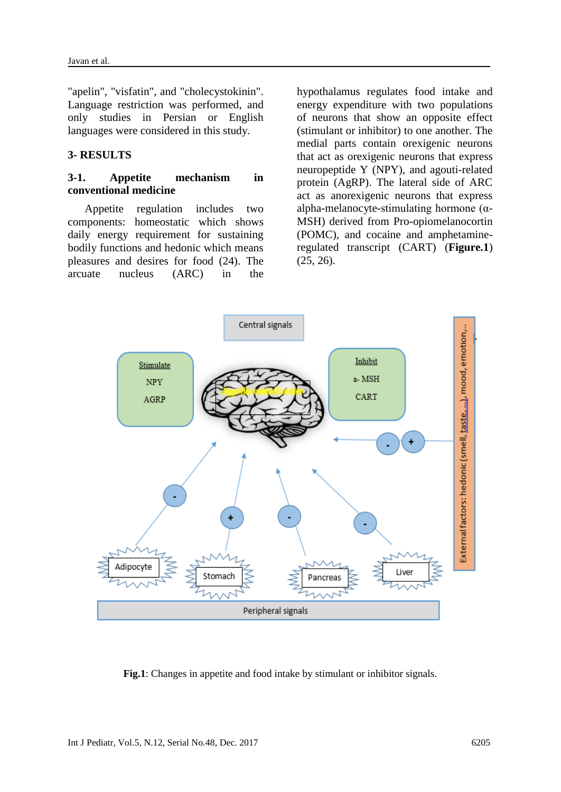"apelin", "visfatin", and "cholecystokinin". Language restriction was performed, and only studies in Persian or English languages were considered in this study.

### **3- RESULTS**

#### **3-1. Appetite mechanism in conventional medicine**

 Appetite regulation includes two components: homeostatic which shows daily energy requirement for sustaining bodily functions and hedonic which means pleasures and desires for food (24). The arcuate nucleus (ARC) in the

hypothalamus regulates food intake and energy expenditure with two populations of neurons that show an opposite effect (stimulant or inhibitor) to one another. The medial parts contain orexigenic neurons that act as orexigenic neurons that express neuropeptide Y (NPY), and agouti-related protein (AgRP). The lateral side of ARC act as anorexigenic neurons that express alpha-melanocyte-stimulating hormone (α-MSH) derived from Pro-opiomelanocortin (POMC), and cocaine and amphetamineregulated transcript (CART) (**Figure.1**) (25, 26).



**Fig.1**: Changes in appetite and food intake by stimulant or inhibitor signals.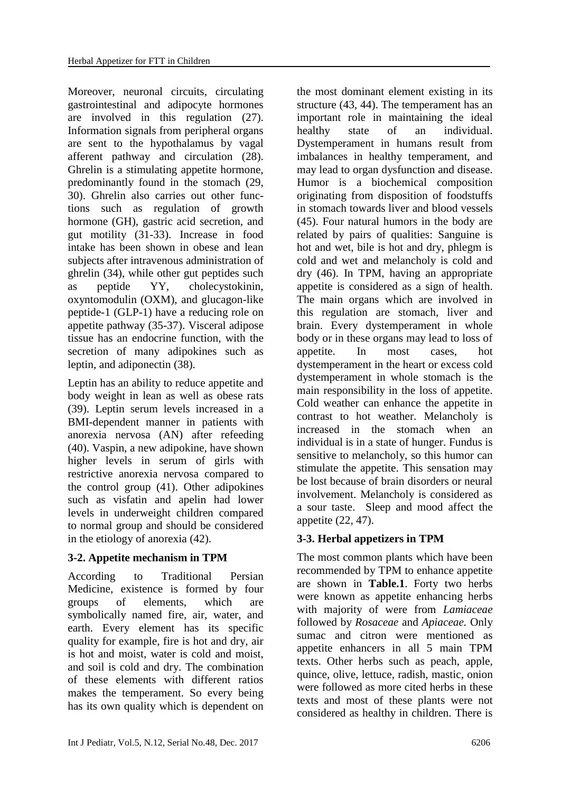Moreover, neuronal circuits, circulating gastrointestinal and adipocyte hormones are involved in this regulation (27). Information signals from peripheral organs are sent to the hypothalamus by vagal afferent pathway and circulation (28). Ghrelin is a stimulating appetite hormone, predominantly found in the stomach (29, 30). Ghrelin also carries out other functions such as regulation of growth hormone (GH), gastric acid secretion, and gut motility (31-33). Increase in food intake has been shown in obese and lean subjects after intravenous administration of ghrelin (34), while other gut peptides such as peptide YY, cholecystokinin, oxyntomodulin (OXM), and glucagon-like peptide-1 (GLP-1) have a reducing role on appetite pathway (35-37). Visceral adipose tissue has an endocrine function, with the secretion of many adipokines such as leptin, and adiponectin (38).

Leptin has an ability to reduce appetite and body weight in lean as well as obese rats (39). Leptin serum levels increased in a BMI-dependent manner in patients with anorexia nervosa (AN) after refeeding (40). Vaspin, a new adipokine, have shown higher levels in serum of girls with restrictive anorexia nervosa compared to the control group (41). Other adipokines such as visfatin and apelin had lower levels in underweight children compared to normal group and should be considered in the etiology of anorexia (42).

# **3-2. Appetite mechanism in TPM**

According to Traditional Persian Medicine, existence is formed by four groups of elements, which are symbolically named fire, air, water, and earth. Every element has its specific quality for example, fire is hot and dry, air is hot and moist, water is cold and moist, and soil is cold and dry. The combination of these elements with different ratios makes the temperament. So every being has its own quality which is dependent on

the most dominant element existing in its structure (43, 44). The temperament has an important role in maintaining the ideal healthy state of an individual. Dystemperament in humans result from imbalances in healthy temperament, and may lead to organ dysfunction and disease. Humor is a biochemical composition originating from disposition of foodstuffs in stomach towards liver and blood vessels (45). Four natural humors in the body are related by pairs of qualities: Sanguine is hot and wet, bile is hot and dry, phlegm is cold and wet and melancholy is cold and dry (46). In TPM, having an appropriate appetite is considered as a sign of health. The main organs which are involved in this regulation are stomach, liver and brain. Every dystemperament in whole body or in these organs may lead to loss of appetite. In most cases, hot dystemperament in the heart or excess cold dystemperament in whole stomach is the main responsibility in the loss of appetite. Cold weather can enhance the appetite in contrast to hot weather. Melancholy is increased in the stomach when an individual is in a state of hunger. Fundus is sensitive to melancholy, so this humor can stimulate the appetite. This sensation may be lost because of brain disorders or neural involvement. Melancholy is considered as a sour taste. Sleep and mood affect the appetite (22, 47).

# **3-3. Herbal appetizers in TPM**

The most common plants which have been recommended by TPM to enhance appetite are shown in **Table.1**. Forty two herbs were known as appetite enhancing herbs with majority of were from *[Lamiaceae](https://en.wikipedia.org/wiki/Lamiaceae)* followed by *Rosaceae* and *Apiaceae.* Only sumac and citron were mentioned as appetite enhancers in all 5 main TPM texts. Other herbs such as peach, apple, quince, olive, lettuce, radish, mastic, onion were followed as more cited herbs in these texts and most of these plants were not considered as healthy in children. There is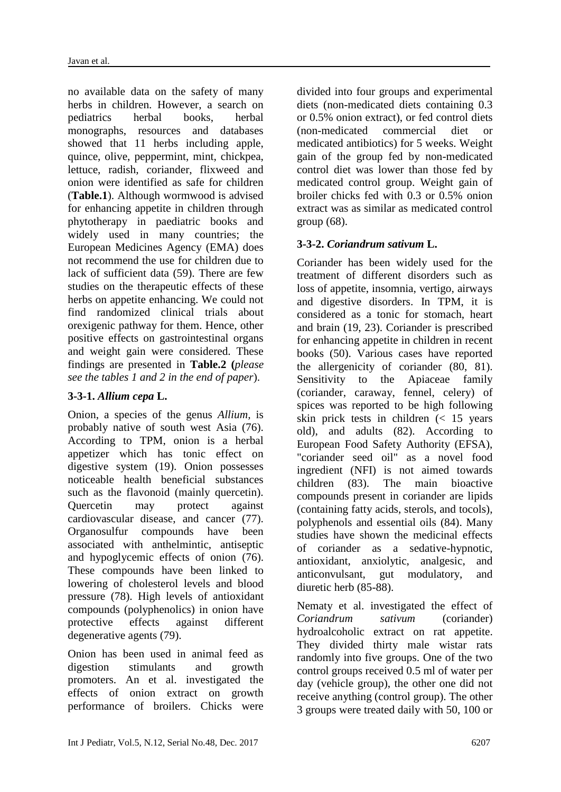no available data on the safety of many herbs in children. However, a search on pediatrics herbal books, herbal monographs, resources and databases showed that 11 herbs including apple, quince, olive, peppermint, mint, chickpea, lettuce, radish, coriander, flixweed and onion were identified as safe for children (**Table.1**). Although wormwood is advised for enhancing appetite in children through phytotherapy in paediatric books and widely used in many countries; the European Medicines Agency (EMA) does not recommend the use for children due to lack of sufficient data (59). There are few studies on the therapeutic effects of these herbs on appetite enhancing. We could not find randomized clinical trials about orexigenic pathway for them. Hence, other positive effects on gastrointestinal organs and weight gain were considered. These findings are presented in **Table.2 (***please see the tables 1 and 2 in the end of paper*).

# **3-3-1.** *Allium cepa* **L.**

Onion, a species of the genus *Allium,* is probably native of south west Asia (76). According to TPM, onion is a herbal appetizer which has tonic effect on digestive system (19). Onion possesses noticeable health beneficial substances such as the flavonoid (mainly quercetin). Quercetin may protect against cardiovascular disease, and cancer (77). Organosulfur compounds have been associated with anthelmintic, antiseptic and hypoglycemic effects of onion (76). These compounds have been linked to lowering of cholesterol levels and blood pressure (78). High levels of antioxidant compounds (polyphenolics) in onion have protective effects against different degenerative agents (79).

Onion has been used in animal feed as digestion stimulants and growth promoters. An et al. investigated the effects of onion extract on growth performance of broilers. Chicks were

divided into four groups and experimental diets (non-medicated diets containing 0.3 or 0.5% onion extract), or fed control diets (non-medicated commercial diet or medicated antibiotics) for 5 weeks. Weight gain of the group fed by non-medicated control diet was lower than those fed by medicated control group. Weight gain of broiler chicks fed with 0.3 or 0.5% onion extract was as similar as medicated control group (68).

# **3-3-2.** *Coriandrum sativum* **L.**

Coriander has been widely used for the treatment of different disorders such as loss of appetite, insomnia, vertigo, airways and digestive disorders. In TPM, it is considered as a tonic for stomach, heart and brain (19, 23). Coriander is prescribed for enhancing appetite in children in recent books (50). Various cases have reported the allergenicity of coriander (80, 81). Sensitivity to the Apiaceae family (coriander, caraway, fennel, celery) of spices was reported to be high following skin prick tests in children (< 15 years old), and adults (82). According to European Food Safety Authority (EFSA), "coriander seed oil" as a novel food ingredient (NFI) is not aimed towards children (83). The main bioactive compounds present in coriander are lipids (containing fatty acids, sterols, and tocols), polyphenols and essential oils (84). Many studies have shown the medicinal effects of coriander as a sedative-hypnotic, antioxidant, anxiolytic, analgesic, and anticonvulsant, gut modulatory, and diuretic herb (85-88).

Nematy et al. investigated the effect of *Coriandrum sativum* (coriander) hydroalcoholic extract on rat appetite. They divided thirty male wistar rats randomly into five groups. One of the two control groups received 0.5 ml of water per day (vehicle group), the other one did not receive anything (control group). The other 3 groups were treated daily with 50, 100 or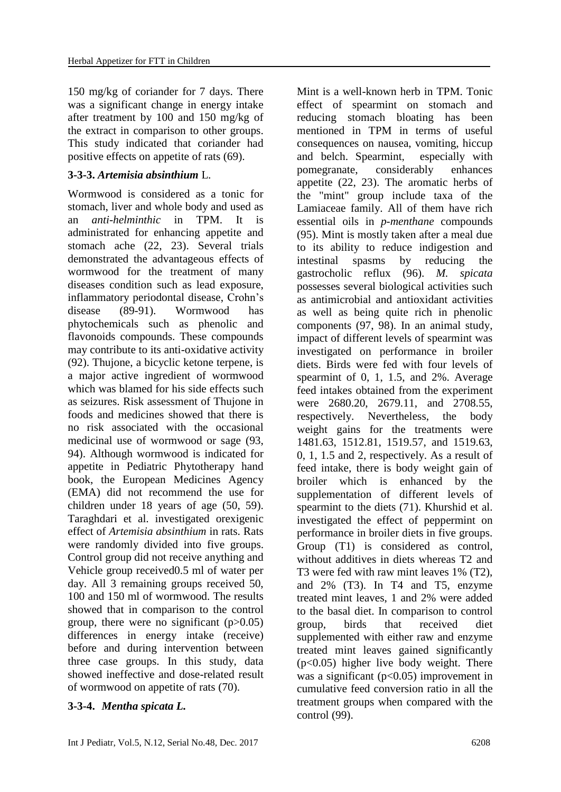150 mg/kg of coriander for 7 days. There was a significant change in energy intake after treatment by 100 and 150 mg/kg of the extract in comparison to other groups. This study indicated that coriander had positive effects on appetite of rats (69).

## **3-3-3.** *Artemisia absinthium* L.

Wormwood is considered as a tonic for stomach, liver and whole body and used as an *anti-helminthic* in TPM. It is administrated for enhancing appetite and stomach ache (22, 23). Several trials demonstrated the advantageous effects of wormwood for the treatment of many diseases condition such as lead exposure, inflammatory periodontal disease, Crohn's disease (89-91). Wormwood has phytochemicals such as phenolic and flavonoids compounds. These compounds may contribute to its anti-oxidative activity (92). Thujone, a bicyclic ketone terpene, is a major active ingredient of wormwood which was blamed for his side effects such as seizures. Risk assessment of Thujone in foods and medicines showed that there is no risk associated with the occasional medicinal use of wormwood or sage (93, 94). Although wormwood is indicated for appetite in Pediatric Phytotherapy hand book, the European Medicines Agency (EMA) did not recommend the use for children under 18 years of age (50, 59). Taraghdari et al. investigated orexigenic effect of *Artemisia absinthium* in rats. Rats were randomly divided into five groups. Control group did not receive anything and Vehicle group received0.5 ml of water per day. All 3 remaining groups received 50, 100 and 150 ml of wormwood. The results showed that in comparison to the control group, there were no significant  $(p>0.05)$ differences in energy intake (receive) before and during intervention between three case groups. In this study, data showed ineffective and dose-related result of wormwood on appetite of rats (70).

# **3-3-4.** *Mentha spicata L.*

effect of spearmint on stomach and reducing stomach bloating has been mentioned in TPM in terms of useful consequences on nausea, vomiting, hiccup and belch. Spearmint, especially with pomegranate, considerably enhances appetite (22, 23). The aromatic herbs of the "mint" group include taxa of the Lamiaceae family. All of them have rich essential oils in *p-menthane* compounds (95). Mint is mostly taken after a meal due to its ability to reduce indigestion and intestinal spasms by reducing the gastrocholic reflux (96). *M. spicata* possesses several biological activities such as antimicrobial and antioxidant activities as well as being quite rich in phenolic components (97, 98). In an animal study, impact of different levels of spearmint was investigated on performance in broiler diets. Birds were fed with four levels of spearmint of 0, 1, 1.5, and 2%. Average feed intakes obtained from the experiment were 2680.20, 2679.11, and 2708.55, respectively. Nevertheless, the body weight gains for the treatments were 1481.63, 1512.81, 1519.57, and 1519.63, 0, 1, 1.5 and 2, respectively. As a result of feed intake, there is body weight gain of broiler which is enhanced by the supplementation of different levels of spearmint to the diets (71). Khurshid et al. investigated the effect of peppermint on performance in broiler diets in five groups. Group (T1) is considered as control, without additives in diets whereas T2 and T3 were fed with raw mint leaves 1% (T2), and 2% (T3). In T4 and T5, enzyme treated mint leaves, 1 and 2% were added to the basal diet. In comparison to control group, birds that received diet supplemented with either raw and enzyme treated mint leaves gained significantly (p<0.05) higher live body weight. There was a significant  $(p<0.05)$  improvement in cumulative feed conversion ratio in all the treatment groups when compared with the control (99).

Mint is a well-known herb in TPM. Tonic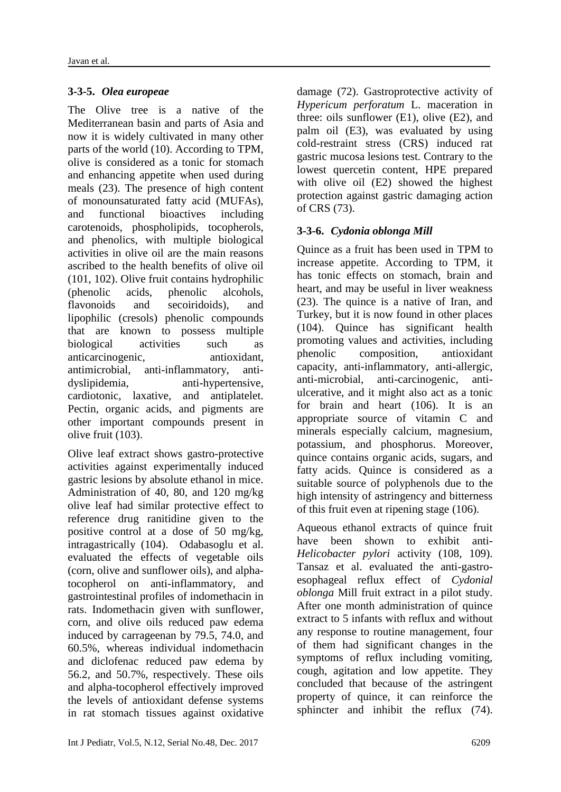### **3-3-5.** *Olea europeae*

The Olive tree is a native of the Mediterranean basin and parts of Asia and now it is widely cultivated in many other parts of the world (10). According to TPM, olive is considered as a tonic for stomach and enhancing appetite when used during meals (23). The presence of high content of monounsaturated fatty acid (MUFAs), and functional bioactives including carotenoids, phospholipids, tocopherols, and phenolics, with multiple biological activities in olive oil are the main reasons ascribed to the health benefits of olive oil (101, 102). Olive fruit contains hydrophilic (phenolic acids, phenolic alcohols, flavonoids and secoiridoids), and lipophilic (cresols) phenolic compounds that are known to possess multiple biological activities such as anticarcinogenic, antioxidant, antimicrobial, anti-inflammatory, antidyslipidemia, anti-hypertensive, cardiotonic, laxative, and antiplatelet. Pectin, organic acids, and pigments are other important compounds present in olive fruit (103).

Olive leaf extract shows gastro-protective activities against experimentally induced gastric lesions by absolute ethanol in mice. Administration of 40, 80, and 120 mg/kg olive leaf had similar protective effect to reference drug ranitidine given to the positive control at a dose of 50 mg/kg, intragastrically (104). Odabasoglu et al. evaluated the effects of vegetable oils (corn, olive and sunflower oils), and alphatocopherol on anti-inflammatory, and gastrointestinal profiles of indomethacin in rats. Indomethacin given with sunflower, corn, and olive oils reduced paw edema induced by carrageenan by 79.5, 74.0, and 60.5%, whereas individual indomethacin and diclofenac reduced paw edema by 56.2, and 50.7%, respectively. These oils and alpha-tocopherol effectively improved the levels of antioxidant defense systems in rat stomach tissues against oxidative

damage (72). Gastroprotective activity of *Hypericum perforatum* L. maceration in three: oils sunflower (E1), olive (E2), and palm oil (E3), was evaluated by using cold-restraint stress (CRS) induced rat gastric mucosa lesions test. Contrary to the lowest quercetin content, HPE prepared with olive oil (E2) showed the highest protection against gastric damaging action of CRS (73).

### **3-3-6.** *Cydonia oblonga Mill*

Quince as a fruit has been used in TPM to increase appetite. According to TPM, it has tonic effects on stomach, brain and heart, and may be useful in liver weakness (23). The quince is a native of Iran, and Turkey, but it is now found in other places (104). Quince has significant health promoting values and activities, including phenolic composition, antioxidant capacity, anti-inflammatory, anti-allergic, anti-microbial, anti-carcinogenic, antiulcerative, and it might also act as a tonic for brain and heart (106). It is an appropriate source of vitamin C and minerals especially calcium, magnesium, potassium, and phosphorus. Moreover, quince contains organic acids, sugars, and fatty acids. Quince is considered as a suitable source of polyphenols due to the high intensity of astringency and bitterness of this fruit even at ripening stage (106).

Aqueous ethanol extracts of quince fruit have been shown to exhibit anti-*Helicobacter pylori* activity (108, 109). Tansaz et al. evaluated the anti-gastroesophageal reflux effect of *Cydonial oblonga* Mill fruit extract in a pilot study. After one month administration of quince extract to 5 infants with reflux and without any response to routine management, four of them had significant changes in the symptoms of reflux including vomiting, cough, agitation and low appetite. They concluded that because of the astringent property of quince, it can reinforce the sphincter and inhibit the reflux (74).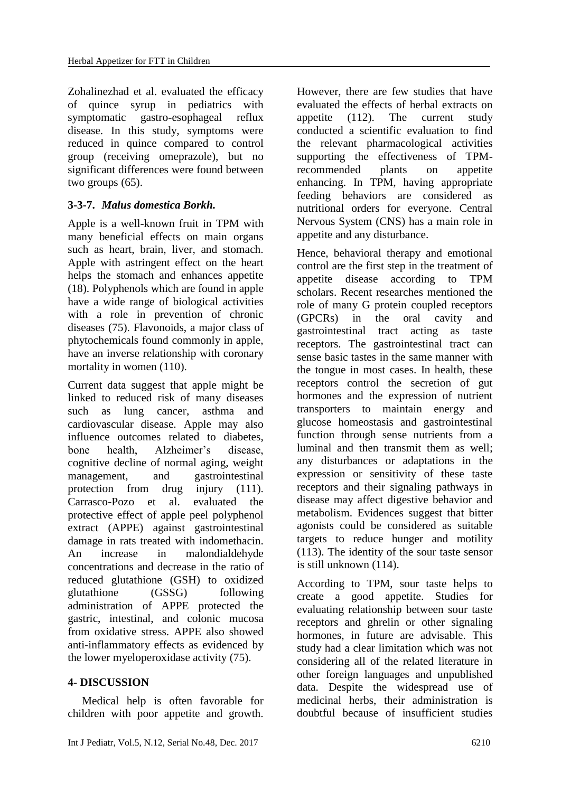Zohalinezhad et al. evaluated the efficacy of quince syrup in pediatrics with symptomatic gastro-esophageal reflux disease. In this study, symptoms were reduced in quince compared to control group (receiving omeprazole), but no significant differences were found between two groups (65).

### **3-3-7.** *Malus domestica Borkh.*

Apple is a well-known fruit in TPM with many beneficial effects on main organs such as heart, brain, liver, and stomach. Apple with astringent effect on the heart helps the stomach and enhances appetite (18). Polyphenols which are found in apple have a wide range of biological activities with a role in prevention of chronic diseases (75). Flavonoids, a major class of phytochemicals found commonly in apple, have an inverse relationship with coronary mortality in women (110).

Current data suggest that apple might be linked to reduced risk of many diseases such as lung cancer, asthma and cardiovascular disease. Apple may also influence outcomes related to diabetes, bone health, Alzheimer's disease, cognitive decline of normal aging, weight management, and gastrointestinal protection from drug injury (111). Carrasco-Pozo et al. evaluated the protective effect of apple peel polyphenol extract (APPE) against gastrointestinal damage in rats treated with indomethacin. An increase in malondialdehyde concentrations and decrease in the ratio of reduced glutathione (GSH) to oxidized glutathione (GSSG) following administration of APPE protected the gastric, intestinal, and colonic mucosa from oxidative stress. APPE also showed anti-inflammatory effects as evidenced by the lower myeloperoxidase activity (75).

### **4- DISCUSSION**

 Medical help is often favorable for children with poor appetite and growth.

However, there are few studies that have evaluated the effects of herbal extracts on appetite (112). The current study conducted a scientific evaluation to find the relevant pharmacological activities supporting the effectiveness of TPMrecommended plants on appetite enhancing. In TPM, having appropriate feeding behaviors are considered as nutritional orders for everyone. Central Nervous System (CNS) has a main role in appetite and any disturbance.

Hence, behavioral therapy and emotional control are the first step in the treatment of appetite disease according to TPM scholars. Recent researches mentioned the role of many G protein coupled receptors (GPCRs) in the oral cavity and gastrointestinal tract acting as taste receptors. The gastrointestinal tract can sense basic tastes in the same manner with the tongue in most cases. In health, these receptors control the secretion of gut hormones and the expression of nutrient transporters to maintain energy and glucose homeostasis and gastrointestinal function through sense nutrients from a luminal and then transmit them as well; any disturbances or adaptations in the expression or sensitivity of these taste receptors and their signaling pathways in disease may affect digestive behavior and metabolism. Evidences suggest that bitter agonists could be considered as suitable targets to reduce hunger and motility (113). The identity of the sour taste sensor is still unknown (114).

According to TPM, sour taste helps to create a good appetite. Studies for evaluating relationship between sour taste receptors and ghrelin or other signaling hormones, in future are advisable. This study had a clear limitation which was not considering all of the related literature in other foreign languages and unpublished data. Despite the widespread use of medicinal herbs, their administration is doubtful because of insufficient studies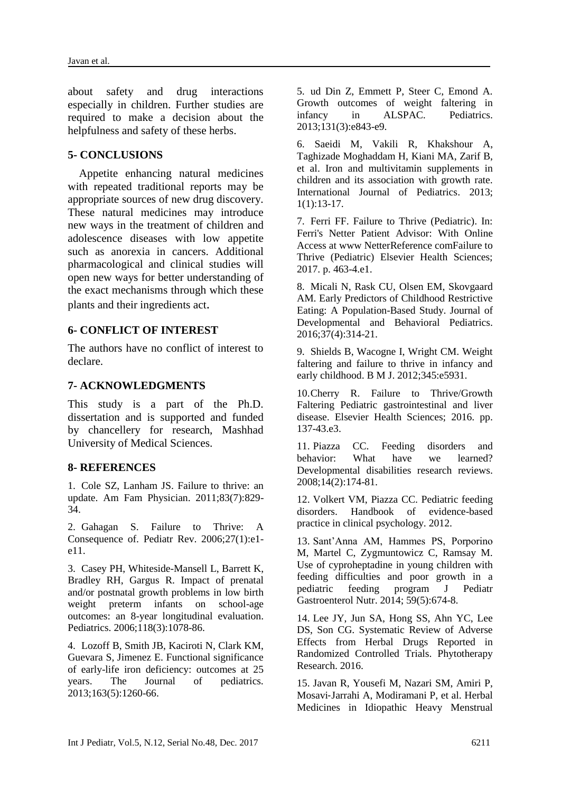about safety and drug interactions especially in children. Further studies are required to make a decision about the helpfulness and safety of these herbs.

### **5- CONCLUSIONS**

 Appetite enhancing natural medicines with repeated traditional reports may be appropriate sources of new drug discovery. These natural medicines may introduce new ways in the treatment of children and adolescence diseases with low appetite such as anorexia in cancers. Additional pharmacological and clinical studies will open new ways for better understanding of the exact mechanisms through which these plants and their ingredients act.

### **6- CONFLICT OF INTEREST**

The authors have no conflict of interest to declare.

### **7- ACKNOWLEDGMENTS**

This study is a part of the Ph.D. dissertation and is supported and funded by chancellery for research, Mashhad University of Medical Sciences.

#### **8- REFERENCES**

1. Cole SZ, Lanham JS. Failure to thrive: an update. Am Fam Physician. 2011;83(7):829- 34.

2. Gahagan S. Failure to Thrive: A Consequence of. Pediatr Rev. 2006;27(1):e1 e11.

3. Casey PH, Whiteside-Mansell L, Barrett K, Bradley RH, Gargus R. Impact of prenatal and/or postnatal growth problems in low birth weight preterm infants on school-age outcomes: an 8-year longitudinal evaluation. Pediatrics. 2006;118(3):1078-86.

4. Lozoff B, Smith JB, Kaciroti N, Clark KM, Guevara S, Jimenez E. Functional significance of early-life iron deficiency: outcomes at 25 years. The Journal of pediatrics. 2013;163(5):1260-66.

5. ud Din Z, Emmett P, Steer C, Emond A. Growth outcomes of weight faltering in infancy in ALSPAC. Pediatrics. 2013;131(3):e843-e9.

6. [Saeidi M,](https://www.scopus.com/authid/detail.uri?authorId=55927110500&eid=2-s2.0-85006924985) [Vakili R,](https://www.scopus.com/authid/detail.uri?authorId=55966390700&eid=2-s2.0-85006924985) [Khakshour A,](https://www.scopus.com/authid/detail.uri?authorId=55550328600&eid=2-s2.0-85006924985)  Taghizade [Moghaddam H,](https://www.scopus.com/authid/detail.uri?authorId=57192586132&eid=2-s2.0-85006924985) [Kiani MA,](https://www.scopus.com/authid/detail.uri?authorId=54683993700&eid=2-s2.0-85006924985) [Zarif B,](https://www.scopus.com/authid/detail.uri?authorId=57192586817&eid=2-s2.0-85006924985) et al. Iron and multivitamin supplements in children and its association with growth rate. [International Journal of Pediatrics.](https://www.scopus.com/sourceid/21100790061?origin=recordpage) 2013;  $1(1):13-17$ .

7. Ferri FF. Failure to Thrive (Pediatric). In: Ferri's Netter Patient Advisor: With Online Access at www NetterReference comFailure to Thrive (Pediatric) Elsevier Health Sciences; 2017. p. 463-4.e1.

8. Micali N, Rask CU, Olsen EM, Skovgaard AM. Early Predictors of Childhood Restrictive Eating: A Population-Based Study. Journal of Developmental and Behavioral Pediatrics. 2016;37(4):314-21.

9. Shields B, Wacogne I, Wright CM. Weight faltering and failure to thrive in infancy and early childhood. B M J. 2012;345:e5931.

10.Cherry R. Failure to Thrive/Growth Faltering Pediatric gastrointestinal and liver disease. Elsevier Health Sciences; 2016. pp. 137-43.e3.

11. Piazza CC. Feeding disorders and behavior: What have we learned? Developmental disabilities research reviews. 2008;14(2):174-81.

12. Volkert VM, Piazza CC. Pediatric feeding disorders. Handbook of evidence-based practice in clinical psychology. 2012.

13. Sant'Anna AM, Hammes PS, Porporino M, Martel C, Zygmuntowicz C, Ramsay M. Use of cyproheptadine in young children with feeding difficulties and poor growth in a pediatric feeding program J Pediatr Gastroenterol Nutr. 2014; 59(5):674-8.

14. Lee JY, Jun SA, Hong SS, Ahn YC, Lee DS, Son CG. Systematic Review of Adverse Effects from Herbal Drugs Reported in Randomized Controlled Trials. Phytotherapy Research. 2016.

15. Javan R, Yousefi M, Nazari SM, Amiri P, Mosavi‐Jarrahi A, Modiramani P, et al. Herbal Medicines in Idiopathic Heavy Menstrual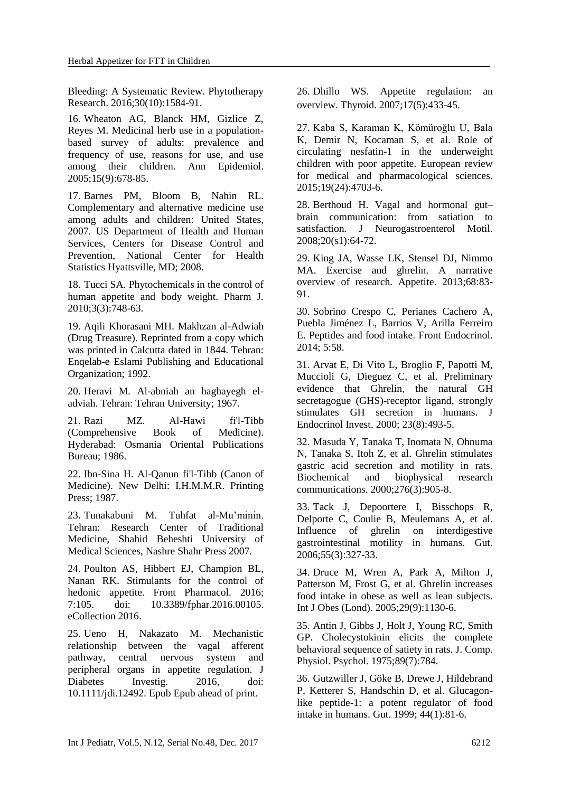Bleeding: A Systematic Review. Phytotherapy Research. 2016;30(10):1584-91.

16. Wheaton AG, Blanck HM, Gizlice Z, Reyes M. Medicinal herb use in a populationbased survey of adults: prevalence and frequency of use, reasons for use, and use among their children. Ann Epidemiol. 2005;15(9):678-85.

17. Barnes PM, Bloom B, Nahin RL. Complementary and alternative medicine use among adults and children: United States, 2007. US Department of Health and Human Services, Centers for Disease Control and Prevention, National Center for Health Statistics Hyattsville, MD; 2008.

18. Tucci SA. Phytochemicals in the control of human appetite and body weight. Pharm J. 2010;3(3):748-63.

19. Aqili Khorasani MH. Makhzan al-Adwiah (Drug Treasure). Reprinted from a copy which was printed in Calcutta dated in 1844. Tehran: Enqelab-e Eslami Publishing and Educational Organization; 1992.

20. Heravi M. Al-abniah an haghayegh eladviah. Tehran: Tehran University; 1967.

21. Razi MZ. Al-Hawi fi'l-Tibb (Comprehensive Book of Medicine). Hyderabad: Osmania Oriental Publications Bureau; 1986.

22. Ibn-Sina H. Al-Qanun fi'l-Tibb (Canon of Medicine). New Delhi: I.H.M.M.R. Printing Press; 1987.

23. Tunakabuni M. Tuhfat al-Mu'minin. Tehran: Research Center of Traditional Medicine, Shahid Beheshti University of Medical Sciences, Nashre Shahr Press 2007.

24. Poulton AS, Hibbert EJ, Champion BL, Nanan RK. Stimulants for the control of hedonic appetite. [Front Pharmacol.](https://www.ncbi.nlm.nih.gov/pubmed/27199749) 2016; 7:105. doi: 10.3389/fphar.2016.00105. eCollection 2016.

25. Ueno H, Nakazato M. Mechanistic relationship between the vagal afferent pathway, central nervous system and peripheral organs in appetite regulation. J Diabetes Investig. 2016, doi: 10.1111/jdi.12492. Epub Epub ahead of print.

26. Dhillo WS. Appetite regulation: an overview. Thyroid. 2007;17(5):433-45.

27. Kaba S, Karaman K, Kömüroğlu U, Bala K, Demir N, Kocaman S, et al. Role of circulating nesfatin-1 in the underweight children with poor appetite. European review for medical and pharmacological sciences. 2015;19(24):4703-6.

28. Berthoud H. Vagal and hormonal gut– brain communication: from satiation to satisfaction. J Neurogastroenterol Motil. 2008;20(s1):64-72.

29. King JA, Wasse LK, Stensel DJ, Nimmo MA. Exercise and ghrelin. A narrative overview of research. Appetite. 2013;68:83- 91.

30. Sobrino Crespo C, Perianes Cachero A, Puebla Jiménez L, Barrios V, Arilla Ferreiro E. Peptides and food intake. Front Endocrinol. 2014; 5:58.

31. Arvat E, Di Vito L, Broglio F, Papotti M, Muccioli G, Dieguez C, et al. Preliminary evidence that Ghrelin, the natural GH secretagogue (GHS)-receptor ligand, strongly stimulates GH secretion in humans. J Endocrinol Invest. 2000; 23(8):493-5.

32. Masuda Y, Tanaka T, Inomata N, Ohnuma N, Tanaka S, Itoh Z, et al. Ghrelin stimulates gastric acid secretion and motility in rats. Biochemical and biophysical research communications. 2000;276(3):905-8.

33. Tack J, Depoortere I, Bisschops R, Delporte C, Coulie B, Meulemans A, et al. Influence of ghrelin on interdigestive gastrointestinal motility in humans. Gut. 2006;55(3):327-33.

34. Druce M, Wren A, Park A, Milton J, Patterson M, Frost G, et al. Ghrelin increases food intake in obese as well as lean subjects. Int J Obes (Lond). 2005;29(9):1130-6.

35. Antin J, Gibbs J, Holt J, Young RC, Smith GP. Cholecystokinin elicits the complete behavioral sequence of satiety in rats. J. Comp. Physiol. Psychol. 1975;89(7):784.

36. Gutzwiller J, Göke B, Drewe J, Hildebrand P, Ketterer S, Handschin D, et al. Glucagonlike peptide-1: a potent regulator of food intake in humans. Gut. 1999; 44(1):81-6.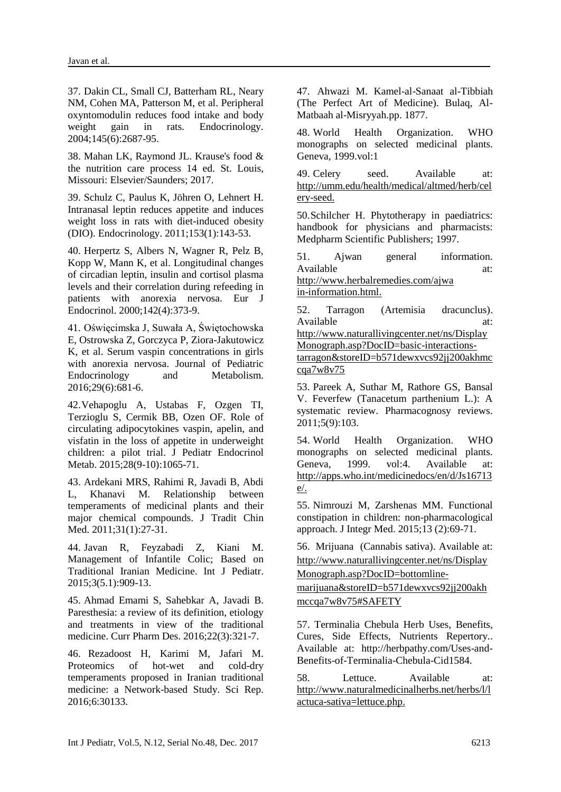37. Dakin CL, Small CJ, Batterham RL, Neary NM, Cohen MA, Patterson M, et al. Peripheral oxyntomodulin reduces food intake and body weight gain in rats. Endocrinology. 2004;145(6):2687-95.

38. Mahan LK, Raymond JL. Krause's food & the nutrition care process 14 ed. St. Louis, Missouri: Elsevier/Saunders; 2017.

39. Schulz C, Paulus K, Jöhren O, Lehnert H. Intranasal leptin reduces appetite and induces weight loss in rats with diet-induced obesity (DIO). Endocrinology. 2011;153(1):143-53.

40. Herpertz S, Albers N, Wagner R, Pelz B, Kopp W, Mann K, et al. Longitudinal changes of circadian leptin, insulin and cortisol plasma levels and their correlation during refeeding in patients with anorexia nervosa. Eur J Endocrinol. 2000;142(4):373-9.

41. Oświęcimska J, Suwała A, Świętochowska E, Ostrowska Z, Gorczyca P, Ziora-Jakutowicz K, et al. Serum vaspin concentrations in girls with anorexia nervosa. Journal of Pediatric Endocrinology and Metabolism. 2016;29(6):681-6.

42.Vehapoglu A, Ustabas F, Ozgen TI, Terzioglu S, Cermik BB, Ozen OF. Role of circulating adipocytokines vaspin, apelin, and visfatin in the loss of appetite in underweight children: a pilot trial. J Pediatr Endocrinol Metab. 2015;28(9-10):1065-71.

43. Ardekani MRS, Rahimi R, Javadi B, Abdi L, Khanavi M. Relationship between temperaments of medicinal plants and their major chemical compounds. J Tradit Chin Med. 2011;31(1):27-31.

44. Javan R, Feyzabadi Z, Kiani M. Management of Infantile Colic; Based on Traditional Iranian Medicine. Int J Pediatr. 2015;3(5.1):909-13.

45. Ahmad Emami S, Sahebkar A, Javadi B. Paresthesia: a review of its definition, etiology and treatments in view of the traditional medicine. Curr Pharm Des. 2016;22(3):321-7.

46. Rezadoost H, Karimi M, Jafari M. Proteomics of hot-wet and cold-dry temperaments proposed in Iranian traditional medicine: a Network-based Study. Sci Rep. 2016;6:30133.

47. Ahwazi M. Kamel-al-Sanaat al-Tibbiah (The Perfect Art of Medicine). Bulaq, Al-Matbaah al-Misryyah.pp. 1877.

48. World Health Organization. WHO monographs on selected medicinal plants. Geneva, 1999.vol:1

49. Celery seed. Available at: http://umm.edu/health/medical/altmed/herb/cel ery-seed.

50.Schilcher H. Phytotherapy in paediatrics: handbook for physicians and pharmacists: Medpharm Scientific Publishers; 1997.

51. Ajwan general information. Available at: http://www.herbalremedies.com/ajwa

in-information.html.

52. Tarragon (Artemisia dracunclus). Available at: http://www.naturallivingcenter.net/ns/Display

Monograph.asp?DocID=basic-interactionstarragon&storeID=b571dewxvcs92jj200akhmc cqa7w8v75

53. Pareek A, Suthar M, Rathore GS, Bansal V. Feverfew (Tanacetum parthenium L.): A systematic review. Pharmacognosy reviews. 2011;5(9):103.

54. World Health Organization. WHO monographs on selected medicinal plants. Geneva, 1999. vol:4. Available at: http://apps.who.int/medicinedocs/en/d/Js16713 e/.

55. Nimrouzi M, Zarshenas MM. Functional constipation in children: non-pharmacological approach. J Integr Med. 2015;13 (2):69-71.

56. Mrijuana (Cannabis sativa). Available at: http://www.naturallivingcenter.net/ns/Display Monograph.asp?DocID=bottomlinemarijuana&storeID=b571dewxvcs92jj200akh

mccqa7w8v75#SAFETY

57. Terminalia Chebula Herb Uses, Benefits, Cures, Side Effects, Nutrients Repertory.. Available at: http://herbpathy.com/Uses-and-Benefits-of-Terminalia-Chebula-Cid1584.

58. Lettuce. Available at: http://www.naturalmedicinalherbs.net/herbs/l/l actuca-sativa=lettuce.php.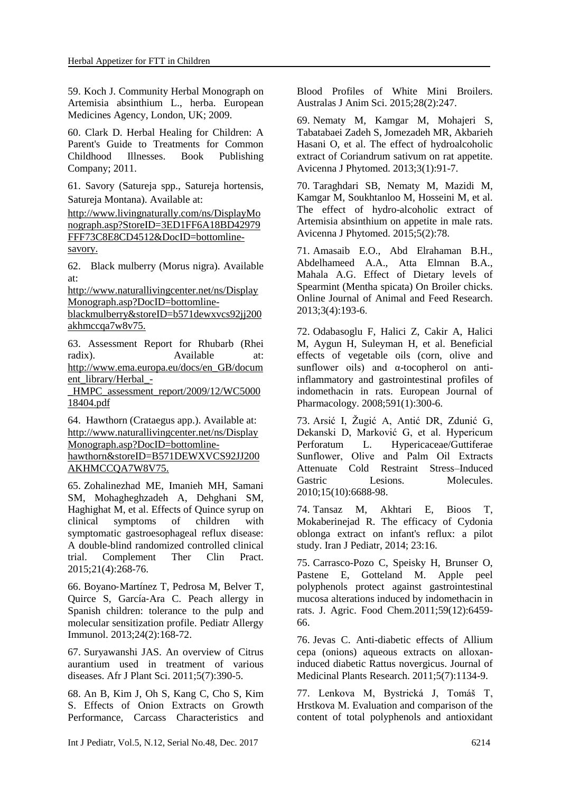59. Koch J. Community Herbal Monograph on Artemisia absinthium L., herba. European Medicines Agency, London, UK; 2009.

60. Clark D. Herbal Healing for Children: A Parent's Guide to Treatments for Common Childhood Illnesses. Book Publishing Company; 2011.

61. Savory (Satureja spp., Satureja hortensis, Satureja Montana). Available at:

http://www.livingnaturally.com/ns/DisplayMo nograph.asp?StoreID=3ED1FF6A18BD42979 FFF73C8E8CD4512&DocID=bottomlinesavory.

62. Black mulberry (Morus nigra). Available at:

http://www.naturallivingcenter.net/ns/Display Monograph.asp?DocID=bottomline-

blackmulberry&storeID=b571dewxvcs92jj200 akhmccqa7w8v75.

63. Assessment Report for Rhubarb (Rhei radix). Available at: http://www.ema.europa.eu/docs/en\_GB/docum ent\_library/Herbal\_-

\_HMPC\_assessment\_report/2009/12/WC5000 18404.pdf

64. Hawthorn (Crataegus app.). Available at: http://www.naturallivingcenter.net/ns/Display Monograph.asp?DocID=bottomlinehawthorn&storeID=B571DEWXVCS92JJ200 AKHMCCQA7W8V75.

65. Zohalinezhad ME, Imanieh MH, Samani SM, Mohagheghzadeh A, Dehghani SM, Haghighat M, et al. Effects of Quince syrup on clinical symptoms of children with symptomatic gastroesophageal reflux disease: A double-blind randomized controlled clinical trial. Complement Ther Clin Pract. 2015;21(4):268-76.

66. Boyano‐Martínez T, Pedrosa M, Belver T, Quirce S, García‐Ara C. Peach allergy in Spanish children: tolerance to the pulp and molecular sensitization profile. Pediatr Allergy Immunol. 2013;24(2):168-72.

67. Suryawanshi JAS. An overview of Citrus aurantium used in treatment of various diseases. Afr J Plant Sci. 2011;5(7):390-5.

68. An B, Kim J, Oh S, Kang C, Cho S, Kim S. Effects of Onion Extracts on Growth Performance, Carcass Characteristics and Blood Profiles of White Mini Broilers. Australas J Anim Sci. 2015;28(2):247.

69. Nematy M, Kamgar M, Mohajeri S, Tabatabaei Zadeh S, Jomezadeh MR, Akbarieh Hasani O, et al. The effect of hydroalcoholic extract of Coriandrum sativum on rat appetite. Avicenna J Phytomed. 2013;3(1):91-7.

70. Taraghdari SB, Nematy M, Mazidi M, Kamgar M, Soukhtanloo M, Hosseini M, et al. The effect of hydro-alcoholic extract of Artemisia absinthium on appetite in male rats. Avicenna J Phytomed. 2015;5(2):78.

71. Amasaib E.O., Abd Elrahaman B.H., Abdelhameed A.A., Atta Elmnan B.A., Mahala A.G. Effect of Dietary levels of Spearmint (Mentha spicata) On Broiler chicks. Online Journal of Animal and Feed Research. 2013;3(4):193-6.

72. Odabasoglu F, Halici Z, Cakir A, Halici M, Aygun H, Suleyman H, et al. Beneficial effects of vegetable oils (corn, olive and sunflower oils) and  $\alpha$ -tocopherol on antiinflammatory and gastrointestinal profiles of indomethacin in rats. European Journal of Pharmacology. 2008;591(1):300-6.

73. Arsić I, Žugić A, Antić DR, Zdunić G, Dekanski D, Marković G, et al. Hypericum Perforatum L. Hypericaceae/Guttiferae Sunflower, Olive and Palm Oil Еxtracts Attenuate Cold Restraint Stress–Induced Gastric Lesions. Molecules. 2010;15(10):6688-98.

74. Tansaz M, Akhtari E, Bioos T, Mokaberinejad R. The efficacy of Cydonia oblonga extract on infant's reflux: a pilot study. Iran J Pediatr, 2014; 23:16.

75. Carrasco-Pozo C, Speisky H, Brunser O, Pastene E, Gotteland M. Apple peel polyphenols protect against gastrointestinal mucosa alterations induced by indomethacin in rats. J. Agric. Food Chem.2011;59(12):6459- 66.

76. Jevas C. Anti-diabetic effects of Allium cepa (onions) aqueous extracts on alloxaninduced diabetic Rattus novergicus. Journal of Medicinal Plants Research. 2011;5(7):1134-9.

77. Lenkova M, Bystrická J, Tomáš T, Hrstkova M. Evaluation and comparison of the content of total polyphenols and antioxidant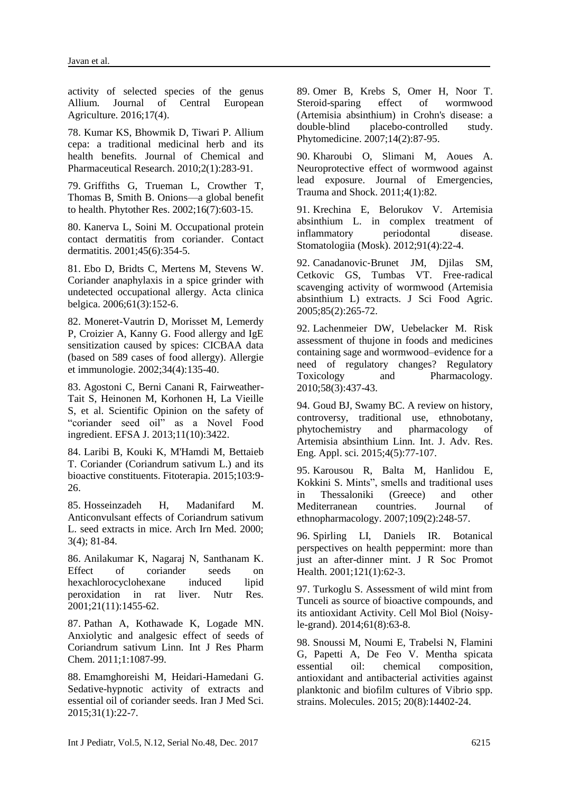activity of selected species of the genus Allium. Journal of Central European Agriculture. 2016;17(4).

78. Kumar KS, Bhowmik D, Tiwari P. Allium cepa: a traditional medicinal herb and its health benefits. Journal of Chemical and Pharmaceutical Research. 2010;2(1):283-91.

79. Griffiths G, Trueman L, Crowther T, Thomas B, Smith B. Onions—a global benefit to health. Phytother Res. 2002;16(7):603-15.

80. Kanerva L, Soini M. Occupational protein contact dermatitis from coriander. Contact dermatitis. 2001;45(6):354-5.

81. Ebo D, Bridts C, Mertens M, Stevens W. Coriander anaphylaxis in a spice grinder with undetected occupational allergy. Acta clinica belgica. 2006;61(3):152-6.

82. Moneret-Vautrin D, Morisset M, Lemerdy P, Croizier A, Kanny G. Food allergy and IgE sensitization caused by spices: CICBAA data (based on 589 cases of food allergy). Allergie et immunologie. 2002;34(4):135-40.

83. Agostoni C, Berni Canani R, Fairweather-Tait S, Heinonen M, Korhonen H, La Vieille S, et al. Scientific Opinion on the safety of "coriander seed oil" as a Novel Food ingredient. EFSA J. 2013;11(10):3422.

84. Laribi B, Kouki K, M'Hamdi M, Bettaieb T. Coriander (Coriandrum sativum L.) and its bioactive constituents. Fitoterapia. 2015;103:9- 26.

85. Hosseinzadeh H, Madanifard M. Anticonvulsant effects of Coriandrum sativum L. seed extracts in mice. Arch Irn Med. 2000; 3(4); 81-84.

86. Anilakumar K, Nagaraj N, Santhanam K. Effect of coriander seeds on hexachlorocyclohexane induced lipid peroxidation in rat liver. Nutr Res. 2001;21(11):1455-62.

87. Pathan A, Kothawade K, Logade MN. Anxiolytic and analgesic effect of seeds of Coriandrum sativum Linn. Int J Res Pharm Chem. 2011;1:1087-99.

88. Emamghoreishi M, Heidari-Hamedani G. Sedative-hypnotic activity of extracts and essential oil of coriander seeds. Iran J Med Sci. 2015;31(1):22-7.

89. Omer B, Krebs S, Omer H, Noor T. Steroid-sparing effect of wormwood (Artemisia absinthium) in Crohn's disease: a double-blind placebo-controlled study. Phytomedicine. 2007;14(2):87-95.

90. Kharoubi O, Slimani M, Aoues A. Neuroprotective effect of wormwood against lead exposure. Journal of Emergencies, Trauma and Shock. 2011;4(1):82.

91. Krechina E, Belorukov V. Artemisia absinthium L. in complex treatment of inflammatory periodontal disease. [Stomatologiia \(Mosk\).](https://www.ncbi.nlm.nih.gov/pubmed/23011328) 2012;91(4):22-4.

92. Canadanovic‐Brunet JM, Djilas SM, Cetkovic GS, Tumbas VT. Free-radical scavenging activity of wormwood (Artemisia absinthium L) extracts. J Sci Food Agric. 2005;85(2):265-72.

92. Lachenmeier DW, Uebelacker M. Risk assessment of thujone in foods and medicines containing sage and wormwood–evidence for a need of regulatory changes? Regulatory Toxicology and Pharmacology. 2010;58(3):437-43.

94. Goud BJ, Swamy BC. A review on history, controversy, traditional use, ethnobotany, phytochemistry and pharmacology of Artemisia absinthium Linn. Int. J. Adv. Res. Eng. Appl. sci. 2015;4(5):77-107.

95. Karousou R, Balta M, Hanlidou E, Kokkini S. Mints", smells and traditional uses in Thessaloniki (Greece) and other Mediterranean countries. Journal of ethnopharmacology. 2007;109(2):248-57.

96. Spirling LI, Daniels IR. Botanical perspectives on health peppermint: more than just an after-dinner mint. J R Soc Promot Health. 2001;121(1):62-3.

97. Turkoglu S. Assessment of wild mint from Tunceli as source of bioactive compounds, and its antioxidant Activity. Cell Mol Biol (Noisyle-grand). 2014;61(8):63-8.

98. Snoussi M, Noumi E, Trabelsi N, Flamini G, Papetti A, De Feo V. Mentha spicata essential oil: chemical composition, antioxidant and antibacterial activities against planktonic and biofilm cultures of Vibrio spp. strains. Molecules. 2015; 20(8):14402-24.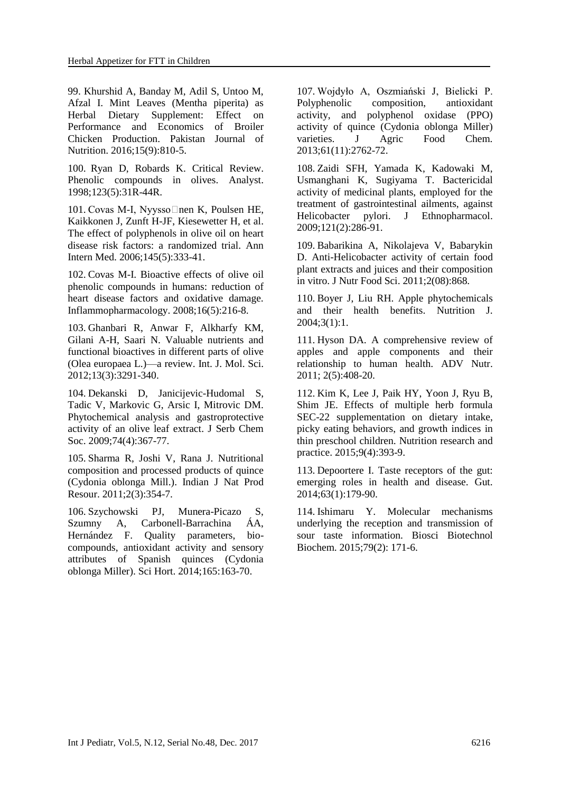99. Khurshid A, Banday M, Adil S, Untoo M, Afzal I. Mint Leaves (Mentha piperita) as Herbal Dietary Supplement: Effect on Performance and Economics of Broiler Chicken Production. Pakistan Journal of Nutrition. 2016;15(9):810-5.

100. Ryan D, Robards K. Critical Review. Phenolic compounds in olives. Analyst. 1998;123(5):31R-44R.

101. Covas M-I, Nyysso⊡nen K, Poulsen HE, Kaikkonen J, Zunft H-JF, Kiesewetter H, et al. The effect of polyphenols in olive oil on heart disease risk factors: a randomized trial. Ann Intern Med. 2006;145(5):333-41.

102. Covas M-I. Bioactive effects of olive oil phenolic compounds in humans: reduction of heart disease factors and oxidative damage. Inflammopharmacology. 2008;16(5):216-8.

103. Ghanbari R, Anwar F, Alkharfy KM, Gilani A-H, Saari N. Valuable nutrients and functional bioactives in different parts of olive (Olea europaea L.)—a review. Int. J. Mol. Sci. 2012;13(3):3291-340.

104. Dekanski D, Janicijevic-Hudomal S, Tadic V, Markovic G, Arsic I, Mitrovic DM. Phytochemical analysis and gastroprotective activity of an olive leaf extract. J Serb Chem Soc. 2009;74(4):367-77.

105. Sharma R, Joshi V, Rana J. Nutritional composition and processed products of quince (Cydonia oblonga Mill.). Indian J Nat Prod Resour. 2011;2(3):354-7.

106. Szychowski PJ, Munera-Picazo S, Szumny A, Carbonell-Barrachina ÁA, Hernández F. Quality parameters, biocompounds, antioxidant activity and sensory attributes of Spanish quinces (Cydonia oblonga Miller). Sci Hort. 2014;165:163-70.

107. Wojdyło A, Oszmiański J, Bielicki P. Polyphenolic composition, antioxidant activity, and polyphenol oxidase (PPO) activity of quince (Cydonia oblonga Miller) varieties. J Agric Food Chem. 2013;61(11):2762-72.

108. Zaidi SFH, Yamada K, Kadowaki M, Usmanghani K, Sugiyama T. Bactericidal activity of medicinal plants, employed for the treatment of gastrointestinal ailments, against Helicobacter pylori. J Ethnopharmacol. 2009;121(2):286-91.

109. Babarikina A, Nikolajeva V, Babarykin D. Anti-Helicobacter activity of certain food plant extracts and juices and their composition in vitro. J Nutr Food Sci. 2011;2(08):868.

110. Boyer J, Liu RH. Apple phytochemicals and their health benefits. Nutrition J. 2004;3(1):1.

111. Hyson DA. A comprehensive review of apples and apple components and their relationship to human health. ADV Nutr. 2011; 2(5):408-20.

112. Kim K, Lee J, Paik HY, Yoon J, Ryu B, Shim JE. Effects of multiple herb formula SEC-22 supplementation on dietary intake, picky eating behaviors, and growth indices in thin preschool children. Nutrition research and practice. 2015;9(4):393-9.

113. Depoortere I. Taste receptors of the gut: emerging roles in health and disease. Gut. 2014;63(1):179-90.

114. Ishimaru Y. Molecular mechanisms underlying the reception and transmission of sour taste information. Biosci Biotechnol Biochem. 2015;79(2): 171-6.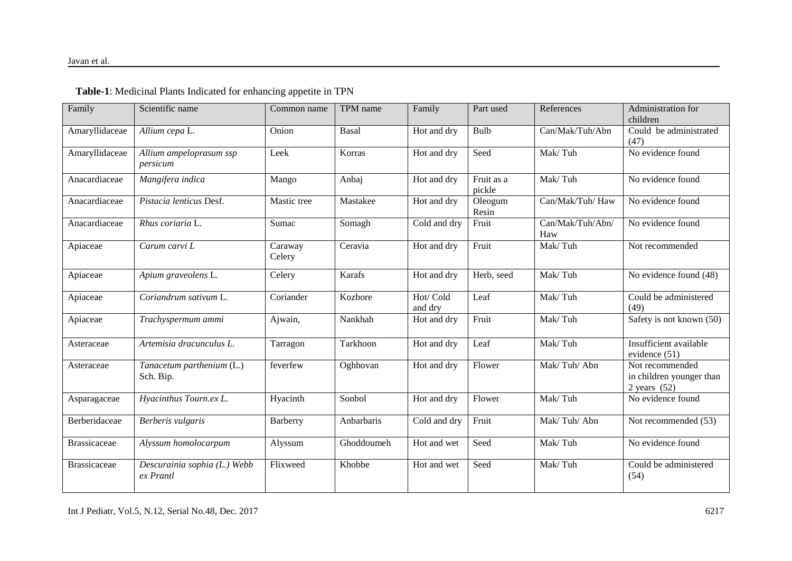#### Javan et al.

| Family              | Scientific name                           | Common name       | TPM name   | Family               | Part used            | References              | Administration for<br>children                                |
|---------------------|-------------------------------------------|-------------------|------------|----------------------|----------------------|-------------------------|---------------------------------------------------------------|
| Amaryllidaceae      | Allium cepa L.                            | Onion             | Basal      | Hot and dry          | Bulb                 | Can/Mak/Tuh/Abn         | Could be administrated<br>(47)                                |
| Amaryllidaceae      | Allium ampeloprasum ssp<br>persicum       | Leek              | Korras     | Hot and dry          | Seed                 | Mak/Tuh                 | No evidence found                                             |
| Anacardiaceae       | Mangifera indica                          | Mango             | Anbaj      | Hot and dry          | Fruit as a<br>pickle | Mak/Tuh                 | No evidence found                                             |
| Anacardiaceae       | Pistacia lenticus Desf.                   | Mastic tree       | Mastakee   | Hot and dry          | Oleogum<br>Resin     | Can/Mak/Tuh/Haw         | No evidence found                                             |
| Anacardiaceae       | Rhus coriaria L.                          | Sumac             | Somagh     | Cold and dry         | Fruit                | Can/Mak/Tuh/Abn/<br>Haw | No evidence found                                             |
| Apiaceae            | Carum carvi L                             | Caraway<br>Celery | Ceravia    | Hot and dry          | Fruit                | Mak/Tuh                 | Not recommended                                               |
| Apiaceae            | Apium graveolens L.                       | Celery            | Karafs     | Hot and dry          | Herb, seed           | Mak/Tuh                 | No evidence found $\overline{(48)}$                           |
| Apiaceae            | Coriandrum sativum L.                     | Coriander         | Kozbore    | Hot/ Cold<br>and dry | Leaf                 | Mak/Tuh                 | Could be administered<br>(49)                                 |
| Apiaceae            | Trachyspermum ammi                        | Ajwain,           | Nankhah    | Hot and dry          | Fruit                | Mak/Tuh                 | Safety is not known (50)                                      |
| Asteraceae          | Artemisia dracunculus L.                  | Tarragon          | Tarkhoon   | Hot and dry          | Leaf                 | Mak/Tuh                 | Insufficient available<br>evidence (51)                       |
| Asteraceae          | Tanacetum parthenium (L.)<br>Sch. Bip.    | feverfew          | Oghhovan   | Hot and dry          | Flower               | Mak/Tuh/Abn             | Not recommended<br>in children younger than<br>2 years $(52)$ |
| Asparagaceae        | Hyacinthus Tourn.ex L.                    | Hyacinth          | Sonbol     | Hot and dry          | Flower               | Mak/Tuh                 | No evidence found                                             |
| Berberidaceae       | Berberis vulgaris                         | Barberry          | Anbarbaris | Cold and dry         | Fruit                | Mak/Tuh/Abn             | Not recommended (53)                                          |
| <b>Brassicaceae</b> | Alyssum homolocarpum                      | Alyssum           | Ghoddoumeh | Hot and wet          | Seed                 | Mak/Tuh                 | No evidence found                                             |
| <b>Brassicaceae</b> | Descurainia sophia (L.) Webb<br>ex Prantl | Flixweed          | Khobbe     | Hot and wet          | Seed                 | Mak/Tuh                 | Could be administered<br>(54)                                 |

### **Table-1**: Medicinal Plants Indicated for enhancing appetite in TPN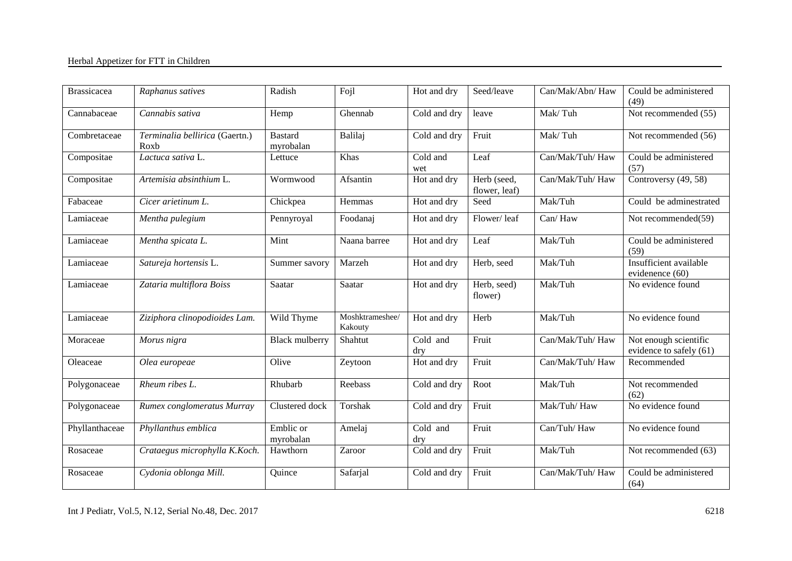| <b>Brassicacea</b> | Raphanus satives                       | Radish                      | Fojl                       | Hot and dry     | Seed/leave                   | Can/Mak/Abn/Haw  | Could be administered<br>(49)                    |
|--------------------|----------------------------------------|-----------------------------|----------------------------|-----------------|------------------------------|------------------|--------------------------------------------------|
| Cannabaceae        | Cannabis sativa                        | Hemp                        | Ghennab                    | Cold and dry    | leave                        | Mak/Tuh          | Not recommended (55)                             |
| Combretaceae       | Terminalia bellirica (Gaertn.)<br>Roxb | <b>Bastard</b><br>myrobalan | Balilaj                    | Cold and dry    | Fruit                        | Mak/Tuh          | Not recommended (56)                             |
| Compositae         | Lactuca sativa L.                      | Lettuce                     | Khas                       | Cold and<br>wet | Leaf                         | Can/Mak/Tuh/Haw  | Could be administered<br>(57)                    |
| Compositae         | Artemisia absinthium L.                | Wormwood                    | Afsantin                   | Hot and dry     | Herb (seed,<br>flower, leaf) | Can/Mak/Tuh/ Haw | Controversy (49, 58)                             |
| Fabaceae           | Cicer arietinum L.                     | Chickpea                    | Hemmas                     | Hot and dry     | Seed                         | Mak/Tuh          | Could be adminestrated                           |
| Lamiaceae          | Mentha pulegium                        | Pennyroyal                  | Foodanaj                   | Hot and dry     | Flower/leaf                  | Can/Haw          | Not recommended(59)                              |
| Lamiaceae          | Mentha spicata L.                      | Mint                        | Naana barree               | Hot and dry     | Leaf                         | Mak/Tuh          | Could be administered<br>(59)                    |
| Lamiaceae          | Satureja hortensis L.                  | Summer savory               | Marzeh                     | Hot and dry     | Herb, seed                   | Mak/Tuh          | Insufficient available<br>evidenence (60)        |
| Lamiaceae          | Zataria multiflora Boiss               | Saatar                      | Saatar                     | Hot and dry     | Herb, seed)<br>flower)       | Mak/Tuh          | No evidence found                                |
| Lamiaceae          | Ziziphora clinopodioides Lam.          | Wild Thyme                  | Moshktrameshee/<br>Kakouty | Hot and dry     | Herb                         | Mak/Tuh          | No evidence found                                |
| Moraceae           | Morus nigra                            | <b>Black mulberry</b>       | Shahtut                    | Cold and<br>dry | Fruit                        | Can/Mak/Tuh/Haw  | Not enough scientific<br>evidence to safely (61) |
| Oleaceae           | Olea europeae                          | Olive                       | Zeytoon                    | Hot and dry     | Fruit                        | Can/Mak/Tuh/Haw  | Recommended                                      |
| Polygonaceae       | Rheum ribes L.                         | Rhubarb                     | Reebass                    | Cold and dry    | Root                         | Mak/Tuh          | Not recommended<br>(62)                          |
| Polygonaceae       | Rumex conglomeratus Murray             | Clustered dock              | Torshak                    | Cold and dry    | Fruit                        | Mak/Tuh/Haw      | No evidence found                                |
| Phyllanthaceae     | Phyllanthus emblica                    | Emblic or<br>myrobalan      | Amelaj                     | Cold and<br>dry | Fruit                        | Can/Tuh/Haw      | No evidence found                                |
| Rosaceae           | Crataegus microphylla K.Koch.          | Hawthorn                    | Zaroor                     | Cold and dry    | Fruit                        | Mak/Tuh          | Not recommended (63)                             |
| Rosaceae           | Cydonia oblonga Mill.                  | Quince                      | Safarjal                   | Cold and dry    | Fruit                        | Can/Mak/Tuh/ Haw | Could be administered<br>(64)                    |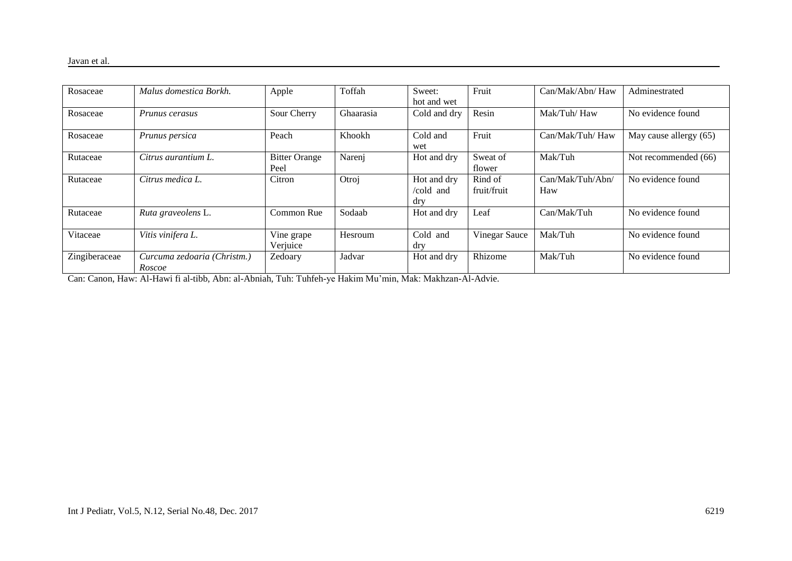| Rosaceae      | Malus domestica Borkh.                | Apple                        | Toffah    | Sweet:<br>hot and wet           | Fruit                  | Can/Mak/Abn/ Haw        | Adminestrated          |
|---------------|---------------------------------------|------------------------------|-----------|---------------------------------|------------------------|-------------------------|------------------------|
| Rosaceae      | Prunus cerasus                        | Sour Cherry                  | Ghaarasia | Cold and dry                    | Resin                  | Mak/Tuh/Haw             | No evidence found      |
| Rosaceae      | Prunus persica                        | Peach                        | Khookh    | Cold and<br>wet                 | Fruit                  | Can/Mak/Tuh/ Haw        | May cause allergy (65) |
| Rutaceae      | Citrus aurantium L.                   | <b>Bitter Orange</b><br>Peel | Narenj    | Hot and dry                     | Sweat of<br>flower     | Mak/Tuh                 | Not recommended (66)   |
| Rutaceae      | Citrus medica L.                      | Citron                       | Otroj     | Hot and dry<br>/cold and<br>dry | Rind of<br>fruit/fruit | Can/Mak/Tuh/Abn/<br>Haw | No evidence found      |
| Rutaceae      | Ruta graveolens L.                    | Common Rue                   | Sodaab    | Hot and dry                     | Leaf                   | Can/Mak/Tuh             | No evidence found      |
| Vitaceae      | Vitis vinifera L.                     | Vine grape<br>Verjuice       | Hesroum   | Cold and<br>dry                 | Vinegar Sauce          | Mak/Tuh                 | No evidence found      |
| Zingiberaceae | Curcuma zedoaria (Christm.)<br>Roscoe | Zedoary                      | Jadvar    | Hot and dry                     | Rhizome                | Mak/Tuh                 | No evidence found      |

Can: Canon, Haw: Al-Hawi fi al-tibb, Abn: al-Abniah, Tuh: Tuhfeh-ye Hakim Mu'min, Mak: Makhzan-Al-Advie.